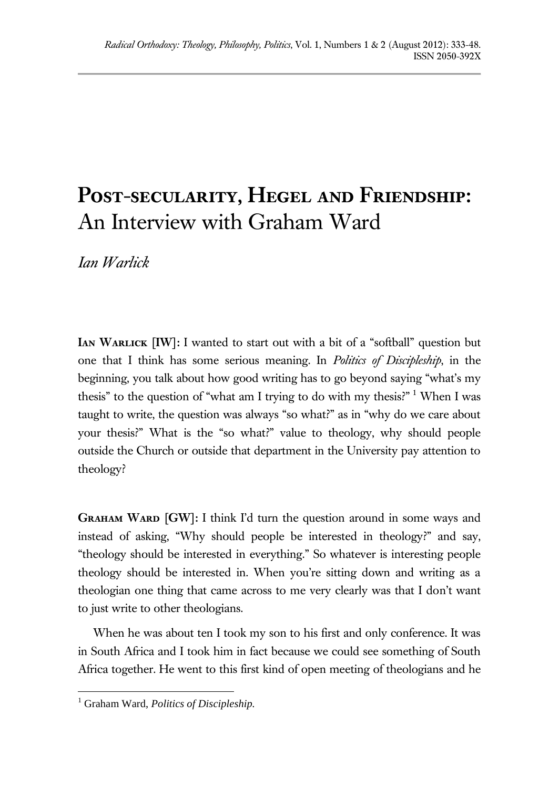## **Post-secularity, Hegel and Friendship:**  An Interview with Graham Ward

*Ian Warlick* 

**IAN WARLICK [IW]:** I wanted to start out with a bit of a "softball" question but one that I think has some serious meaning. In *Politics of Discipleship*, in the beginning, you talk about how good writing has to go beyond saying "what's my thesis" to the question of "what am I trying to do with my thesis?"  $1$  When I was taught to write, the question was always "so what?" as in "why do we care about your thesis?" What is the "so what?" value to theology, why should people outside the Church or outside that department in the University pay attention to theology?

**Graham Ward [GW]:** I think I'd turn the question around in some ways and instead of asking, "Why should people be interested in theology?" and say, "theology should be interested in everything." So whatever is interesting people theology should be interested in. When you're sitting down and writing as a theologian one thing that came across to me very clearly was that I don't want to just write to other theologians.

When he was about ten I took my son to his first and only conference. It was in South Africa and I took him in fact because we could see something of South Africa together. He went to this first kind of open meeting of theologians and he

<sup>1</sup> Graham Ward, *Politics of Discipleship.*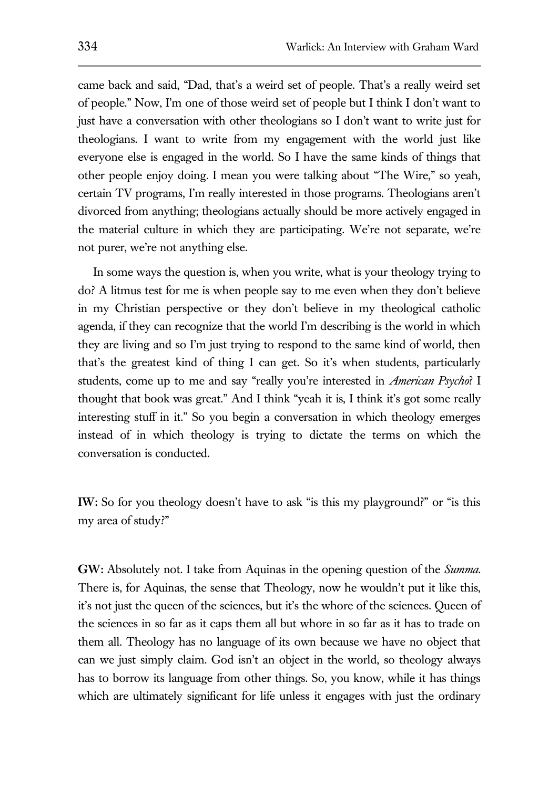came back and said, "Dad, that's a weird set of people. That's a really weird set of people." Now, I'm one of those weird set of people but I think I don't want to just have a conversation with other theologians so I don't want to write just for theologians. I want to write from my engagement with the world just like everyone else is engaged in the world. So I have the same kinds of things that other people enjoy doing. I mean you were talking about "The Wire," so yeah, certain TV programs, I'm really interested in those programs. Theologians aren't divorced from anything; theologians actually should be more actively engaged in the material culture in which they are participating. We're not separate, we're not purer, we're not anything else.

In some ways the question is, when you write, what is your theology trying to do? A litmus test for me is when people say to me even when they don't believe in my Christian perspective or they don't believe in my theological catholic agenda, if they can recognize that the world I'm describing is the world in which they are living and so I'm just trying to respond to the same kind of world, then that's the greatest kind of thing I can get. So it's when students, particularly students, come up to me and say "really you're interested in *American Psycho*? I thought that book was great." And I think "yeah it is, I think it's got some really interesting stuff in it." So you begin a conversation in which theology emerges instead of in which theology is trying to dictate the terms on which the conversation is conducted.

**IW:** So for you theology doesn't have to ask "is this my playground?" or "is this my area of study?"

**GW:** Absolutely not. I take from Aquinas in the opening question of the *Summa*. There is, for Aquinas, the sense that Theology, now he wouldn't put it like this, it's not just the queen of the sciences, but it's the whore of the sciences. Queen of the sciences in so far as it caps them all but whore in so far as it has to trade on them all. Theology has no language of its own because we have no object that can we just simply claim. God isn't an object in the world, so theology always has to borrow its language from other things. So, you know, while it has things which are ultimately significant for life unless it engages with just the ordinary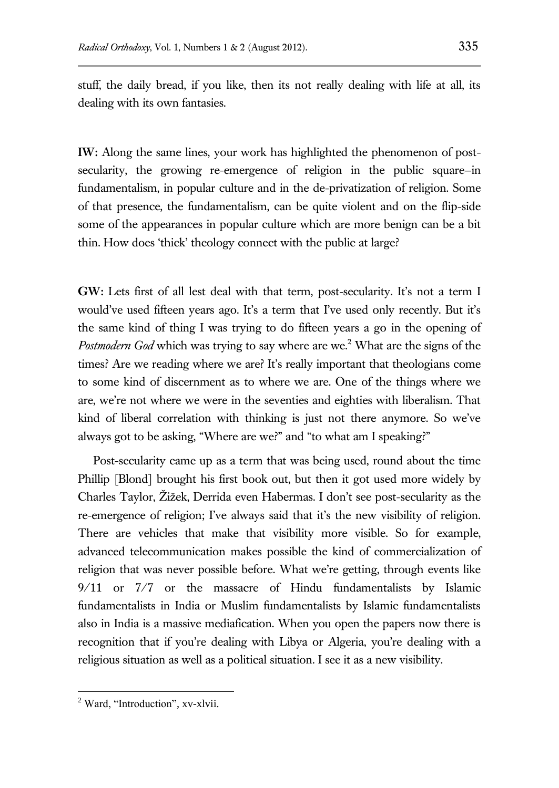stuff, the daily bread, if you like, then its not really dealing with life at all, its dealing with its own fantasies.

**IW:** Along the same lines, your work has highlighted the phenomenon of postsecularity, the growing re-emergence of religion in the public square—in fundamentalism, in popular culture and in the de-privatization of religion. Some of that presence, the fundamentalism, can be quite violent and on the flip-side some of the appearances in popular culture which are more benign can be a bit thin. How does 'thick' theology connect with the public at large?

**GW:** Lets first of all lest deal with that term, post-secularity. It's not a term I would've used fifteen years ago. It's a term that I've used only recently. But it's the same kind of thing I was trying to do fifteen years a go in the opening of Postmodern God which was trying to say where are we.<sup>2</sup> What are the signs of the times? Are we reading where we are? It's really important that theologians come to some kind of discernment as to where we are. One of the things where we are, we're not where we were in the seventies and eighties with liberalism. That kind of liberal correlation with thinking is just not there anymore. So we've always got to be asking, "Where are we?" and "to what am I speaking?"

Post-secularity came up as a term that was being used, round about the time Phillip [Blond] brought his first book out, but then it got used more widely by Charles Taylor, Žižek, Derrida even Habermas. I don't see post-secularity as the re-emergence of religion; I've always said that it's the new visibility of religion. There are vehicles that make that visibility more visible. So for example, advanced telecommunication makes possible the kind of commercialization of religion that was never possible before. What we're getting, through events like 9/11 or 7/7 or the massacre of Hindu fundamentalists by Islamic fundamentalists in India or Muslim fundamentalists by Islamic fundamentalists also in India is a massive mediafication. When you open the papers now there is recognition that if you're dealing with Libya or Algeria, you're dealing with a religious situation as well as a political situation. I see it as a new visibility.

 $2$  Ward, "Introduction", xv-xlvii.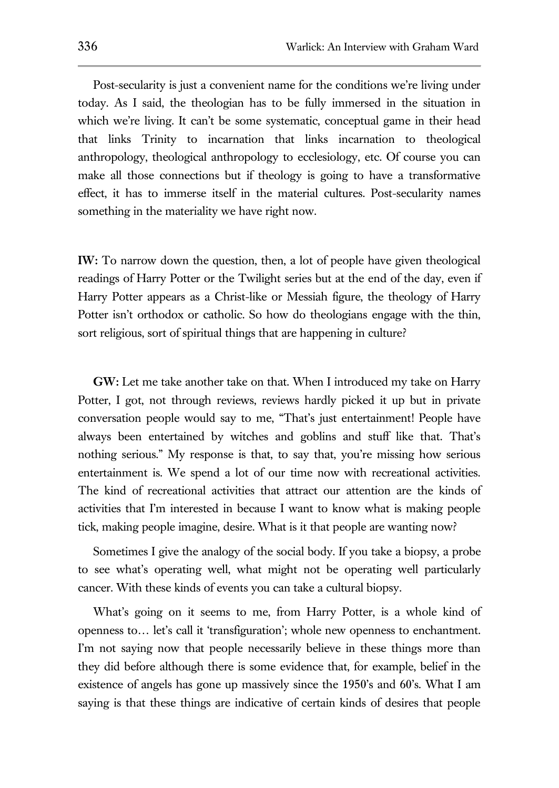Post-secularity is just a convenient name for the conditions we're living under today. As I said, the theologian has to be fully immersed in the situation in which we're living. It can't be some systematic, conceptual game in their head that links Trinity to incarnation that links incarnation to theological anthropology, theological anthropology to ecclesiology, etc. Of course you can make all those connections but if theology is going to have a transformative effect, it has to immerse itself in the material cultures. Post-secularity names something in the materiality we have right now.

**IW:** To narrow down the question, then, a lot of people have given theological readings of Harry Potter or the Twilight series but at the end of the day, even if Harry Potter appears as a Christ-like or Messiah figure, the theology of Harry Potter isn't orthodox or catholic. So how do theologians engage with the thin, sort religious, sort of spiritual things that are happening in culture?

**GW:** Let me take another take on that. When I introduced my take on Harry Potter, I got, not through reviews, reviews hardly picked it up but in private conversation people would say to me, "That's just entertainment! People have always been entertained by witches and goblins and stuff like that. That's nothing serious." My response is that, to say that, you're missing how serious entertainment is. We spend a lot of our time now with recreational activities. The kind of recreational activities that attract our attention are the kinds of activities that I'm interested in because I want to know what is making people tick, making people imagine, desire. What is it that people are wanting now?

Sometimes I give the analogy of the social body. If you take a biopsy, a probe to see what's operating well, what might not be operating well particularly cancer. With these kinds of events you can take a cultural biopsy.

What's going on it seems to me, from Harry Potter, is a whole kind of openness to… let's call it 'transfiguration'; whole new openness to enchantment. I'm not saying now that people necessarily believe in these things more than they did before although there is some evidence that, for example, belief in the existence of angels has gone up massively since the 1950's and 60's. What I am saying is that these things are indicative of certain kinds of desires that people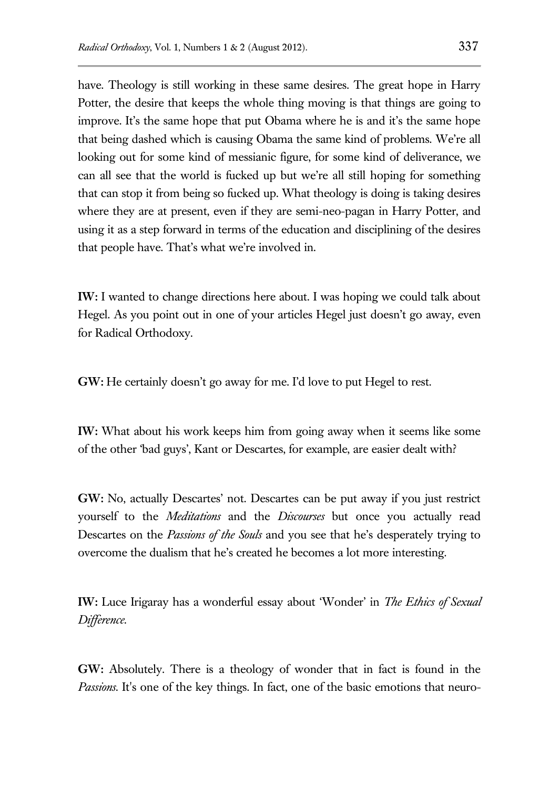have. Theology is still working in these same desires. The great hope in Harry Potter, the desire that keeps the whole thing moving is that things are going to improve. It's the same hope that put Obama where he is and it's the same hope that being dashed which is causing Obama the same kind of problems. We're all looking out for some kind of messianic figure, for some kind of deliverance, we can all see that the world is fucked up but we're all still hoping for something that can stop it from being so fucked up. What theology is doing is taking desires where they are at present, even if they are semi-neo-pagan in Harry Potter, and using it as a step forward in terms of the education and disciplining of the desires that people have. That's what we're involved in.

**IW:** I wanted to change directions here about. I was hoping we could talk about Hegel. As you point out in one of your articles Hegel just doesn't go away, even for Radical Orthodoxy.

**GW:** He certainly doesn't go away for me. I'd love to put Hegel to rest.

**IW:** What about his work keeps him from going away when it seems like some of the other 'bad guys', Kant or Descartes, for example, are easier dealt with?

**GW:** No, actually Descartes' not. Descartes can be put away if you just restrict yourself to the *Meditations* and the *Discourses* but once you actually read Descartes on the *Passions of the Souls* and you see that he's desperately trying to overcome the dualism that he's created he becomes a lot more interesting.

**IW:** Luce Irigaray has a wonderful essay about 'Wonder' in *The Ethics of Sexual Difference*.

**GW:** Absolutely. There is a theology of wonder that in fact is found in the *Passions*. It's one of the key things. In fact, one of the basic emotions that neuro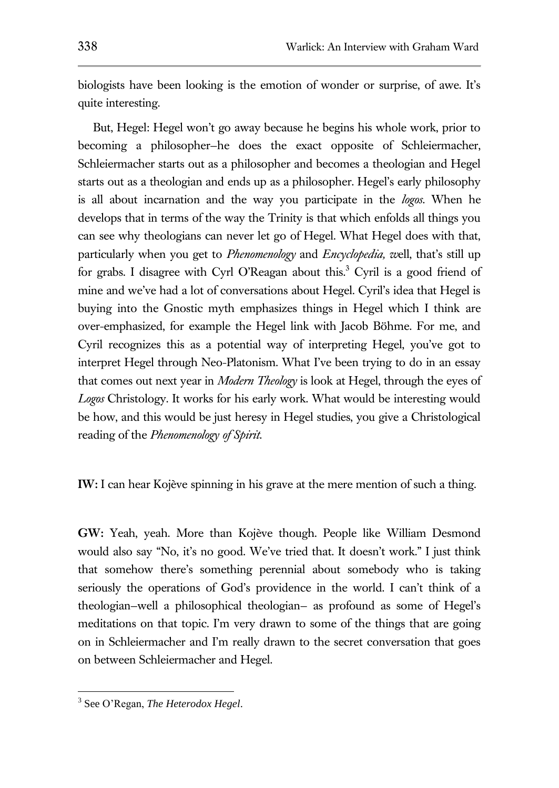biologists have been looking is the emotion of wonder or surprise, of awe. It's quite interesting.

But, Hegel: Hegel won't go away because he begins his whole work, prior to becoming a philosopher—he does the exact opposite of Schleiermacher, Schleiermacher starts out as a philosopher and becomes a theologian and Hegel starts out as a theologian and ends up as a philosopher. Hegel's early philosophy is all about incarnation and the way you participate in the *logos*. When he develops that in terms of the way the Trinity is that which enfolds all things you can see why theologians can never let go of Hegel. What Hegel does with that, particularly when you get to *Phenomenology* and *Encyclopedia, w*ell, that's still up for grabs. I disagree with Cyrl O'Reagan about this.<sup>3</sup> Cyril is a good friend of mine and we've had a lot of conversations about Hegel. Cyril's idea that Hegel is buying into the Gnostic myth emphasizes things in Hegel which I think are over-emphasized, for example the Hegel link with Jacob Böhme. For me, and Cyril recognizes this as a potential way of interpreting Hegel, you've got to interpret Hegel through Neo-Platonism. What I've been trying to do in an essay that comes out next year in *Modern Theology* is look at Hegel, through the eyes of *Logos* Christology. It works for his early work. What would be interesting would be how, and this would be just heresy in Hegel studies, you give a Christological reading of the *Phenomenology of Spirit*.

**IW:** I can hear Kojève spinning in his grave at the mere mention of such a thing.

**GW:** Yeah, yeah. More than Kojève though. People like William Desmond would also say "No, it's no good. We've tried that. It doesn't work." I just think that somehow there's something perennial about somebody who is taking seriously the operations of God's providence in the world. I can't think of a theologian—well a philosophical theologian— as profound as some of Hegel's meditations on that topic. I'm very drawn to some of the things that are going on in Schleiermacher and I'm really drawn to the secret conversation that goes on between Schleiermacher and Hegel.

<sup>3</sup> See O'Regan, *The Heterodox Hegel*.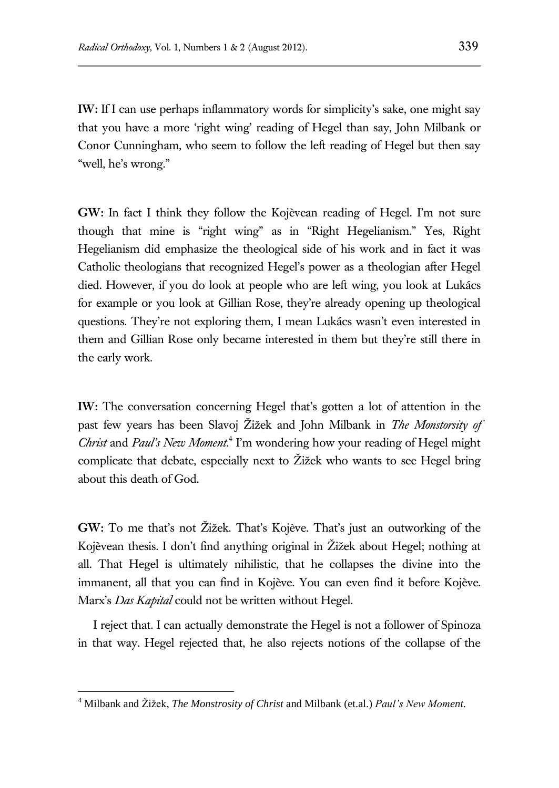**IW:** If I can use perhaps inflammatory words for simplicity's sake, one might say that you have a more 'right wing' reading of Hegel than say, John Milbank or Conor Cunningham, who seem to follow the left reading of Hegel but then say "well, he's wrong."

**GW:** In fact I think they follow the Kojèvean reading of Hegel. I'm not sure though that mine is "right wing" as in "Right Hegelianism." Yes, Right Hegelianism did emphasize the theological side of his work and in fact it was Catholic theologians that recognized Hegel's power as a theologian after Hegel died. However, if you do look at people who are left wing, you look at Lukács for example or you look at Gillian Rose, they're already opening up theological questions. They're not exploring them, I mean Lukács wasn't even interested in them and Gillian Rose only became interested in them but they're still there in the early work.

**IW:** The conversation concerning Hegel that's gotten a lot of attention in the past few years has been Slavoj Žižek and John Milbank in *The Monstorsity of Christ* and *Paul's New Moment.*<sup>4</sup> I'm wondering how your reading of Hegel might complicate that debate, especially next to Žižek who wants to see Hegel bring about this death of God.

**GW:** To me that's not Žižek. That's Kojève. That's just an outworking of the Kojèvean thesis. I don't find anything original in Žižek about Hegel; nothing at all. That Hegel is ultimately nihilistic, that he collapses the divine into the immanent, all that you can find in Kojève. You can even find it before Kojève. Marx's *Das Kapital* could not be written without Hegel.

I reject that. I can actually demonstrate the Hegel is not a follower of Spinoza in that way. Hegel rejected that, he also rejects notions of the collapse of the

<sup>4</sup> Milbank and Žižek, *The Monstrosity of Christ* and Milbank (et.al.) *Paul's New Moment.*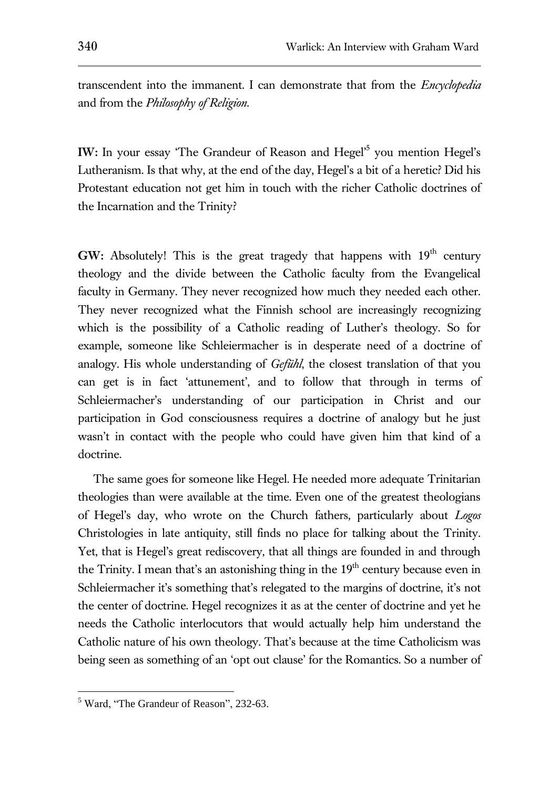transcendent into the immanent. I can demonstrate that from the *Encyclopedia* and from the *Philosophy of Religion*.

**IW:** In your essay 'The Grandeur of Reason and Hegel'<sup>5</sup> you mention Hegel's Lutheranism. Is that why, at the end of the day, Hegel's a bit of a heretic? Did his Protestant education not get him in touch with the richer Catholic doctrines of the Incarnation and the Trinity?

**GW:** Absolutely! This is the great tragedy that happens with  $19<sup>th</sup>$  century theology and the divide between the Catholic faculty from the Evangelical faculty in Germany. They never recognized how much they needed each other. They never recognized what the Finnish school are increasingly recognizing which is the possibility of a Catholic reading of Luther's theology. So for example, someone like Schleiermacher is in desperate need of a doctrine of analogy. His whole understanding of *Gefühl*, the closest translation of that you can get is in fact 'attunement', and to follow that through in terms of Schleiermacher's understanding of our participation in Christ and our participation in God consciousness requires a doctrine of analogy but he just wasn't in contact with the people who could have given him that kind of a doctrine.

The same goes for someone like Hegel. He needed more adequate Trinitarian theologies than were available at the time. Even one of the greatest theologians of Hegel's day, who wrote on the Church fathers, particularly about *Logos*  Christologies in late antiquity, still finds no place for talking about the Trinity. Yet, that is Hegel's great rediscovery, that all things are founded in and through the Trinity. I mean that's an astonishing thing in the  $19<sup>th</sup>$  century because even in Schleiermacher it's something that's relegated to the margins of doctrine, it's not the center of doctrine. Hegel recognizes it as at the center of doctrine and yet he needs the Catholic interlocutors that would actually help him understand the Catholic nature of his own theology. That's because at the time Catholicism was being seen as something of an 'opt out clause' for the Romantics. So a number of

<sup>5</sup> Ward, "The Grandeur of Reason", 232-63.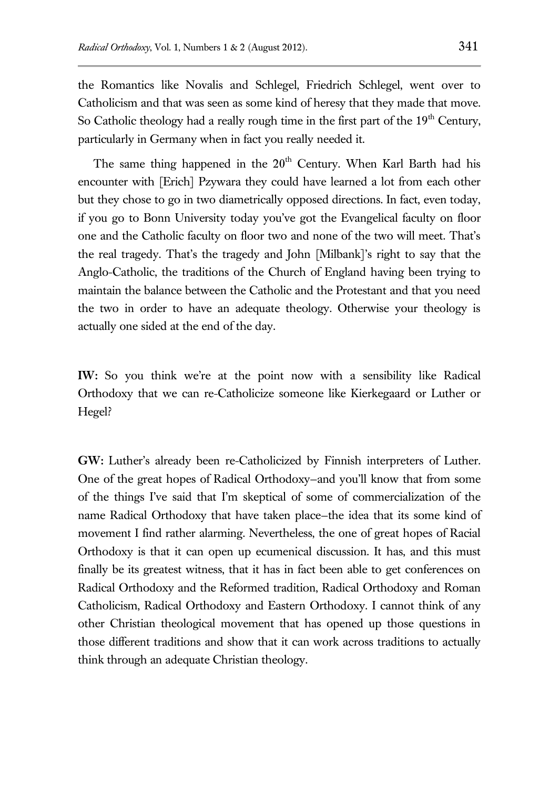the Romantics like Novalis and Schlegel, Friedrich Schlegel, went over to Catholicism and that was seen as some kind of heresy that they made that move. So Catholic theology had a really rough time in the first part of the  $19<sup>th</sup>$  Century, particularly in Germany when in fact you really needed it.

The same thing happened in the  $20<sup>th</sup>$  Century. When Karl Barth had his encounter with [Erich] Pzywara they could have learned a lot from each other but they chose to go in two diametrically opposed directions. In fact, even today, if you go to Bonn University today you've got the Evangelical faculty on floor one and the Catholic faculty on floor two and none of the two will meet. That's the real tragedy. That's the tragedy and John [Milbank]'s right to say that the Anglo-Catholic, the traditions of the Church of England having been trying to maintain the balance between the Catholic and the Protestant and that you need the two in order to have an adequate theology. Otherwise your theology is actually one sided at the end of the day.

**IW:** So you think we're at the point now with a sensibility like Radical Orthodoxy that we can re-Catholicize someone like Kierkegaard or Luther or Hegel?

**GW:** Luther's already been re-Catholicized by Finnish interpreters of Luther. One of the great hopes of Radical Orthodoxy—and you'll know that from some of the things I've said that I'm skeptical of some of commercialization of the name Radical Orthodoxy that have taken place—the idea that its some kind of movement I find rather alarming. Nevertheless, the one of great hopes of Racial Orthodoxy is that it can open up ecumenical discussion. It has, and this must finally be its greatest witness, that it has in fact been able to get conferences on Radical Orthodoxy and the Reformed tradition, Radical Orthodoxy and Roman Catholicism, Radical Orthodoxy and Eastern Orthodoxy. I cannot think of any other Christian theological movement that has opened up those questions in those different traditions and show that it can work across traditions to actually think through an adequate Christian theology.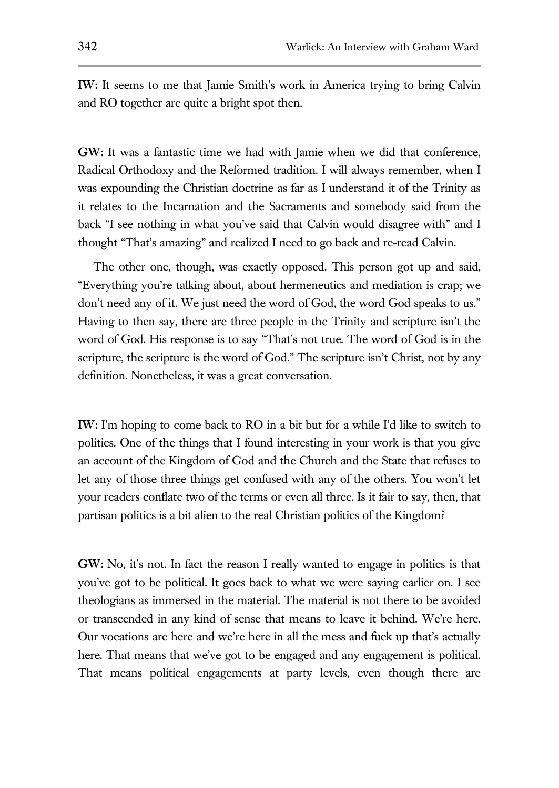**IW:** It seems to me that Jamie Smith's work in America trying to bring Calvin and RO together are quite a bright spot then.

**GW:** It was a fantastic time we had with Jamie when we did that conference, Radical Orthodoxy and the Reformed tradition. I will always remember, when I was expounding the Christian doctrine as far as I understand it of the Trinity as it relates to the Incarnation and the Sacraments and somebody said from the back "I see nothing in what you've said that Calvin would disagree with" and I thought "That's amazing" and realized I need to go back and re-read Calvin.

The other one, though, was exactly opposed. This person got up and said, "Everything you're talking about, about hermeneutics and mediation is crap; we don't need any of it. We just need the word of God, the word God speaks to us." Having to then say, there are three people in the Trinity and scripture isn't the word of God. His response is to say "That's not true. The word of God is in the scripture, the scripture is the word of God." The scripture isn't Christ, not by any definition. Nonetheless, it was a great conversation.

**IW:** I'm hoping to come back to RO in a bit but for a while I'd like to switch to politics. One of the things that I found interesting in your work is that you give an account of the Kingdom of God and the Church and the State that refuses to let any of those three things get confused with any of the others. You won't let your readers conflate two of the terms or even all three. Is it fair to say, then, that partisan politics is a bit alien to the real Christian politics of the Kingdom?

**GW:** No, it's not. In fact the reason I really wanted to engage in politics is that you've got to be political. It goes back to what we were saying earlier on. I see theologians as immersed in the material. The material is not there to be avoided or transcended in any kind of sense that means to leave it behind. We're here. Our vocations are here and we're here in all the mess and fuck up that's actually here. That means that we've got to be engaged and any engagement is political. That means political engagements at party levels, even though there are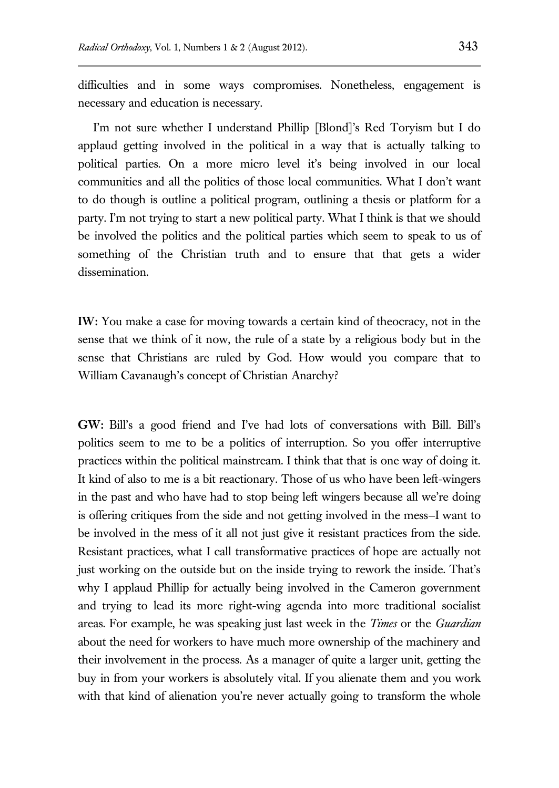difficulties and in some ways compromises. Nonetheless, engagement is necessary and education is necessary.

I'm not sure whether I understand Phillip [Blond]'s Red Toryism but I do applaud getting involved in the political in a way that is actually talking to political parties. On a more micro level it's being involved in our local communities and all the politics of those local communities. What I don't want to do though is outline a political program, outlining a thesis or platform for a party. I'm not trying to start a new political party. What I think is that we should be involved the politics and the political parties which seem to speak to us of something of the Christian truth and to ensure that that gets a wider dissemination.

**IW:** You make a case for moving towards a certain kind of theocracy, not in the sense that we think of it now, the rule of a state by a religious body but in the sense that Christians are ruled by God. How would you compare that to William Cavanaugh's concept of Christian Anarchy?

**GW:** Bill's a good friend and I've had lots of conversations with Bill. Bill's politics seem to me to be a politics of interruption. So you offer interruptive practices within the political mainstream. I think that that is one way of doing it. It kind of also to me is a bit reactionary. Those of us who have been left-wingers in the past and who have had to stop being left wingers because all we're doing is offering critiques from the side and not getting involved in the mess—I want to be involved in the mess of it all not just give it resistant practices from the side. Resistant practices, what I call transformative practices of hope are actually not just working on the outside but on the inside trying to rework the inside. That's why I applaud Phillip for actually being involved in the Cameron government and trying to lead its more right-wing agenda into more traditional socialist areas. For example, he was speaking just last week in the *Times* or the *Guardian* about the need for workers to have much more ownership of the machinery and their involvement in the process. As a manager of quite a larger unit, getting the buy in from your workers is absolutely vital. If you alienate them and you work with that kind of alienation you're never actually going to transform the whole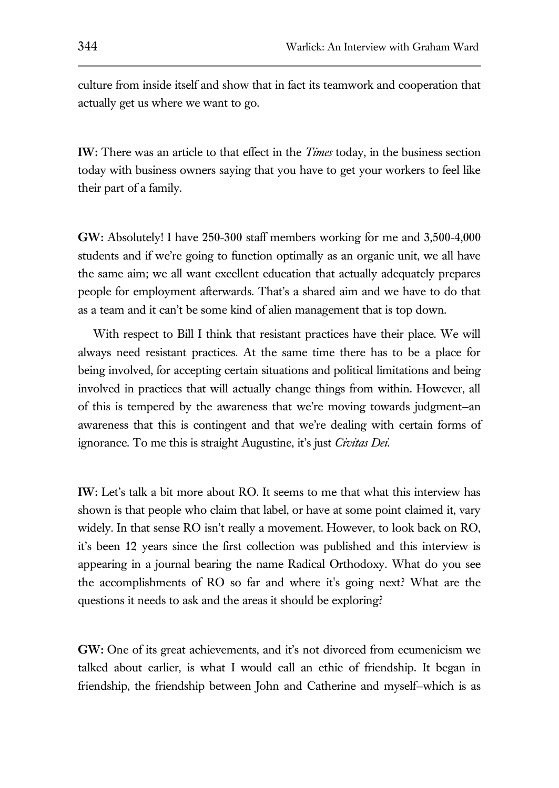culture from inside itself and show that in fact its teamwork and cooperation that actually get us where we want to go.

**IW:** There was an article to that effect in the *Times* today, in the business section today with business owners saying that you have to get your workers to feel like their part of a family.

**GW:** Absolutely! I have 250-300 staff members working for me and 3,500-4,000 students and if we're going to function optimally as an organic unit, we all have the same aim; we all want excellent education that actually adequately prepares people for employment afterwards. That's a shared aim and we have to do that as a team and it can't be some kind of alien management that is top down.

With respect to Bill I think that resistant practices have their place. We will always need resistant practices. At the same time there has to be a place for being involved, for accepting certain situations and political limitations and being involved in practices that will actually change things from within. However, all of this is tempered by the awareness that we're moving towards judgment—an awareness that this is contingent and that we're dealing with certain forms of ignorance. To me this is straight Augustine, it's just *Civitas Dei*.

**IW:** Let's talk a bit more about RO. It seems to me that what this interview has shown is that people who claim that label, or have at some point claimed it, vary widely. In that sense RO isn't really a movement. However, to look back on RO, it's been 12 years since the first collection was published and this interview is appearing in a journal bearing the name Radical Orthodoxy. What do you see the accomplishments of RO so far and where it's going next? What are the questions it needs to ask and the areas it should be exploring?

**GW:** One of its great achievements, and it's not divorced from ecumenicism we talked about earlier, is what I would call an ethic of friendship. It began in friendship, the friendship between John and Catherine and myself—which is as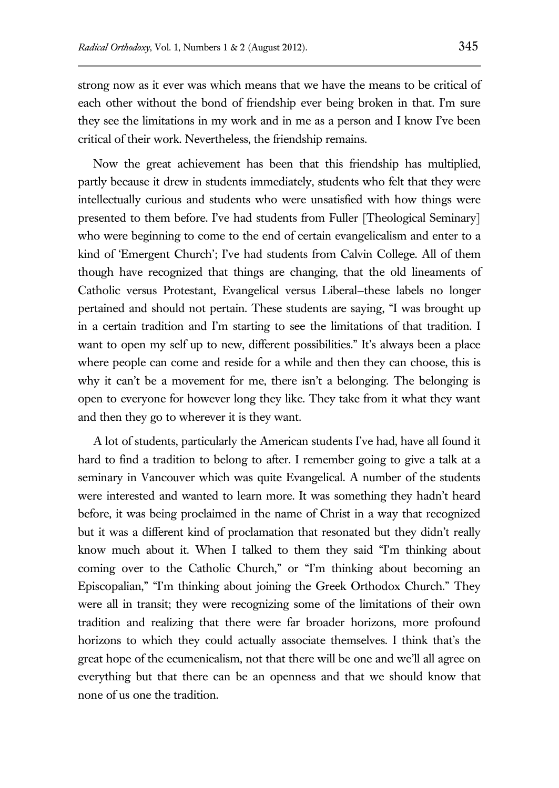strong now as it ever was which means that we have the means to be critical of each other without the bond of friendship ever being broken in that. I'm sure they see the limitations in my work and in me as a person and I know I've been critical of their work. Nevertheless, the friendship remains.

Now the great achievement has been that this friendship has multiplied, partly because it drew in students immediately, students who felt that they were intellectually curious and students who were unsatisfied with how things were presented to them before. I've had students from Fuller [Theological Seminary] who were beginning to come to the end of certain evangelicalism and enter to a kind of 'Emergent Church'; I've had students from Calvin College. All of them though have recognized that things are changing, that the old lineaments of Catholic versus Protestant, Evangelical versus Liberal—these labels no longer pertained and should not pertain. These students are saying, "I was brought up in a certain tradition and I'm starting to see the limitations of that tradition. I want to open my self up to new, different possibilities." It's always been a place where people can come and reside for a while and then they can choose, this is why it can't be a movement for me, there isn't a belonging. The belonging is open to everyone for however long they like. They take from it what they want and then they go to wherever it is they want.

A lot of students, particularly the American students I've had, have all found it hard to find a tradition to belong to after. I remember going to give a talk at a seminary in Vancouver which was quite Evangelical. A number of the students were interested and wanted to learn more. It was something they hadn't heard before, it was being proclaimed in the name of Christ in a way that recognized but it was a different kind of proclamation that resonated but they didn't really know much about it. When I talked to them they said "I'm thinking about coming over to the Catholic Church," or "I'm thinking about becoming an Episcopalian," "I'm thinking about joining the Greek Orthodox Church." They were all in transit; they were recognizing some of the limitations of their own tradition and realizing that there were far broader horizons, more profound horizons to which they could actually associate themselves. I think that's the great hope of the ecumenicalism, not that there will be one and we'll all agree on everything but that there can be an openness and that we should know that none of us one the tradition.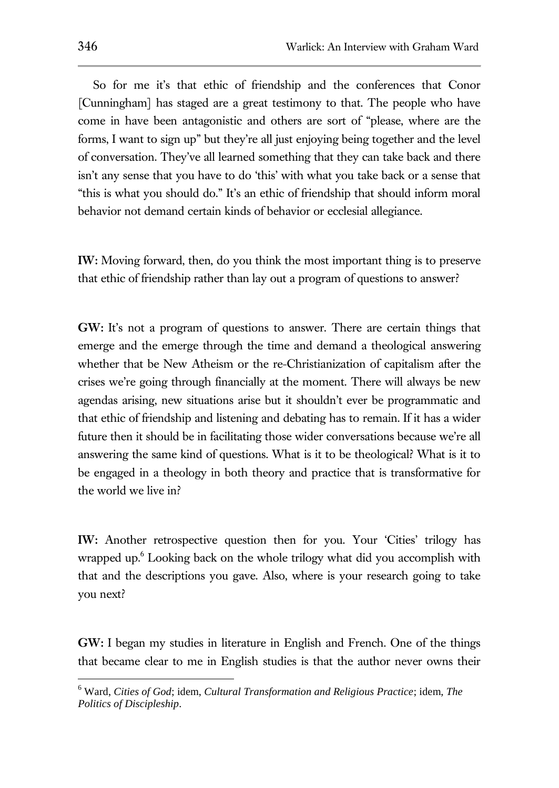So for me it's that ethic of friendship and the conferences that Conor [Cunningham] has staged are a great testimony to that. The people who have come in have been antagonistic and others are sort of "please, where are the forms, I want to sign up" but they're all just enjoying being together and the level of conversation. They've all learned something that they can take back and there isn't any sense that you have to do 'this' with what you take back or a sense that "this is what you should do." It's an ethic of friendship that should inform moral behavior not demand certain kinds of behavior or ecclesial allegiance.

**IW:** Moving forward, then, do you think the most important thing is to preserve that ethic of friendship rather than lay out a program of questions to answer?

**GW:** It's not a program of questions to answer. There are certain things that emerge and the emerge through the time and demand a theological answering whether that be New Atheism or the re-Christianization of capitalism after the crises we're going through financially at the moment. There will always be new agendas arising, new situations arise but it shouldn't ever be programmatic and that ethic of friendship and listening and debating has to remain. If it has a wider future then it should be in facilitating those wider conversations because we're all answering the same kind of questions. What is it to be theological? What is it to be engaged in a theology in both theory and practice that is transformative for the world we live in?

**IW:** Another retrospective question then for you. Your 'Cities' trilogy has wrapped up.<sup>6</sup> Looking back on the whole trilogy what did you accomplish with that and the descriptions you gave. Also, where is your research going to take you next?

**GW:** I began my studies in literature in English and French. One of the things that became clear to me in English studies is that the author never owns their

<sup>6</sup> Ward, *Cities of God*; idem, *Cultural Transformation and Religious Practice*; idem, *The Politics of Discipleship*.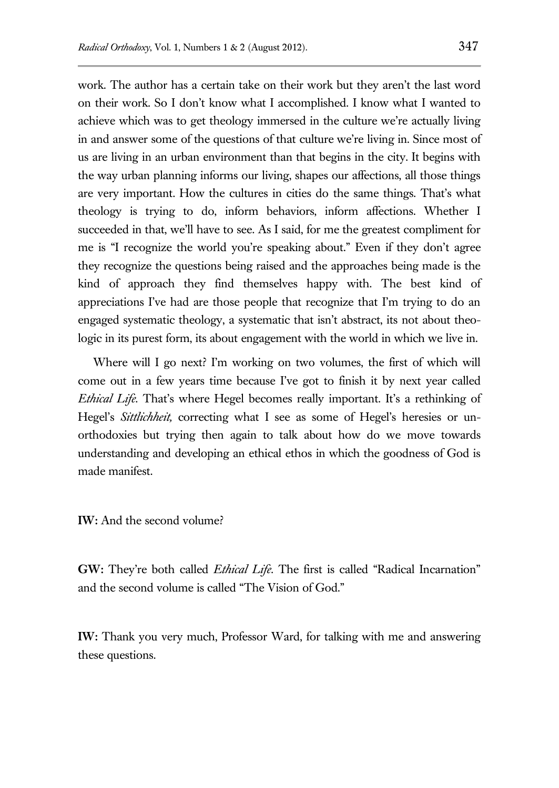work. The author has a certain take on their work but they aren't the last word on their work. So I don't know what I accomplished. I know what I wanted to achieve which was to get theology immersed in the culture we're actually living in and answer some of the questions of that culture we're living in. Since most of us are living in an urban environment than that begins in the city. It begins with the way urban planning informs our living, shapes our affections, all those things are very important. How the cultures in cities do the same things. That's what theology is trying to do, inform behaviors, inform affections. Whether I succeeded in that, we'll have to see. As I said, for me the greatest compliment for me is "I recognize the world you're speaking about." Even if they don't agree they recognize the questions being raised and the approaches being made is the kind of approach they find themselves happy with. The best kind of appreciations I've had are those people that recognize that I'm trying to do an engaged systematic theology, a systematic that isn't abstract, its not about theologic in its purest form, its about engagement with the world in which we live in.

Where will I go next? I'm working on two volumes, the first of which will come out in a few years time because I've got to finish it by next year called *Ethical Life*. That's where Hegel becomes really important. It's a rethinking of Hegel's *Sittlichheit,* correcting what I see as some of Hegel's heresies or unorthodoxies but trying then again to talk about how do we move towards understanding and developing an ethical ethos in which the goodness of God is made manifest.

**IW:** And the second volume?

**GW:** They're both called *Ethical Life*. The first is called "Radical Incarnation" and the second volume is called "The Vision of God."

**IW:** Thank you very much, Professor Ward, for talking with me and answering these questions.